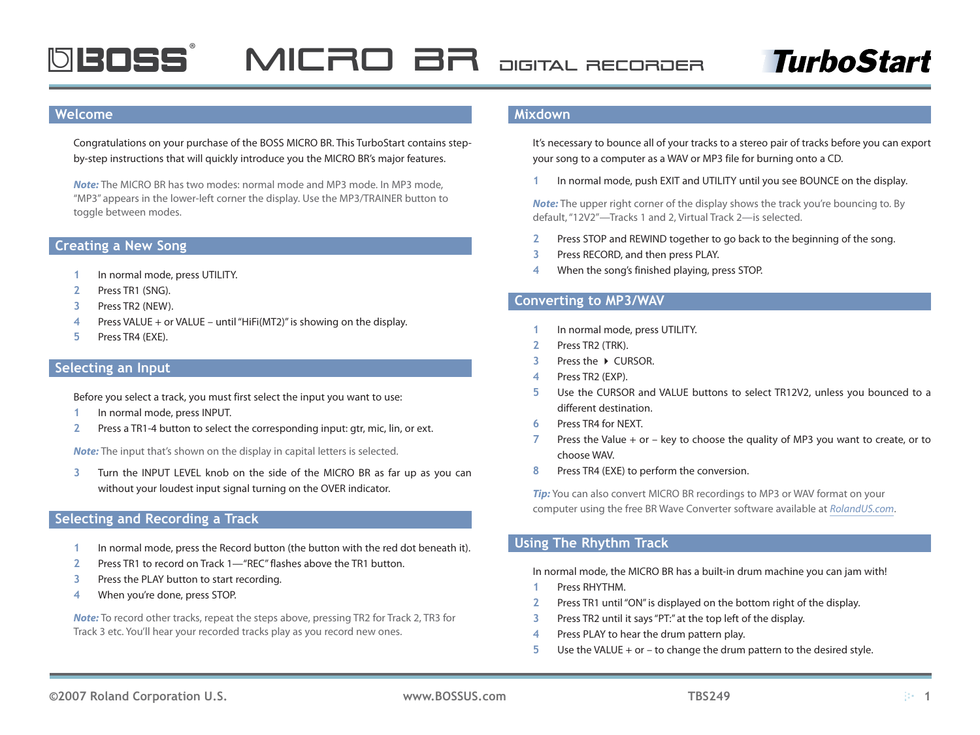

## **TurboStart**

#### **Welcome**

Congratulations on your purchase of the BOSS MICRO BR. This TurboStart contains stepby-step instructions that will quickly introduce you the MICRO BR's major features.

*Note:* The MICRO BR has two modes: normal mode and MP3 mode. In MP3 mode, "MP3" appears in the lower-left corner the display. Use the MP3/TRAINER button to toggle between modes.

#### **Creating a New Song**

- In normal mode, press UTILITY. **�**
- Press TR1 (SNG). **2�**
- Press TR2 (NEW). **3�**
- Press VALUE + or VALUE until "HiFi(MT2)" is showing on the display. **4�**
- Press TR4 (EXE). **5�**

#### **Selecting an Input**

Before you select a track, you must first select the input you want to use:

- In normal mode, press INPUT. **�**
- Press a TR1-4 button to select the corresponding input: gtr, mic, lin, or ext. **2�**

*Note:* The input that's shown on the display in capital letters is selected.

Turn the INPUT LEVEL knob on the side of the MICRO BR as far up as you can without your loudest input signal turning on the OVER indicator. **3�**

#### **Selecting and Recording a Track**

- In normal mode, press the Record button (the button with the red dot beneath it). **�**
- Press TR1 to record on Track 1—"REC" flashes above the TR1 button. **2�**
- Press the PLAY button to start recording. **3�**
- When you're done, press STOP. **4�**

*Note:* To record other tracks, repeat the steps above, pressing TR2 for Track 2, TR3 for Track 3 etc. You'll hear your recorded tracks play as you record new ones.

#### **Mixdown**

It's necessary to bounce all of your tracks to a stereo pair of tracks before you can export your song to a computer as a WAV or MP3 file for burning onto a CD.

In normal mode, push EXIT and UTILITY until you see BOUNCE on the display. **�**

*Note:* The upper right corner of the display shows the track you're bouncing to. By default, "12V2"—Tracks 1 and 2, Virtual Track 2—is selected.

- Press STOP and REWIND together to go back to the beginning of the song. **2�**
- Press RECORD, and then press PLAY. **3�**
- When the song's finished playing, press STOP. **4�**

#### **Converting to MP3/WAV**

- In normal mode, press UTILITY. **�**
- Press TR2 (TRK). **2�**
- Press the **E CURSOR 3�**
- Press TR2 (EXP). **4�**
- Use the CURSOR and VALUE buttons to select TR12V2, unless you bounced to a different destination. **5�**
- Press TR4 for NEXT. **6�**
- Press the Value + or key to choose the quality of MP3 you want to create, or to choose WAV. **7�**
- Press TR4 (EXE) to perform the conversion. **8�**

*Tip:* You can also convert MICRO BR recordings to MP3 or WAV format on your computer using the free BR Wave Converter software available at *[RolandUS.com](http://www.rolandus.com/support/downloads_updates/)*.

#### **Using The Rhythm Track**

In normal mode, the MICRO BR has a built-in drum machine you can jam with!

- Press RHYTHM. **�**
- Press TR1 until "ON" is displayed on the bottom right of the display.  $\overline{2}$
- Press TR2 until it says "PT:" at the top left of the display. **3�**
- Press PLAY to hear the drum pattern play. **4�**
- Use the VALUE + or to change the drum pattern to the desired style. **5�**